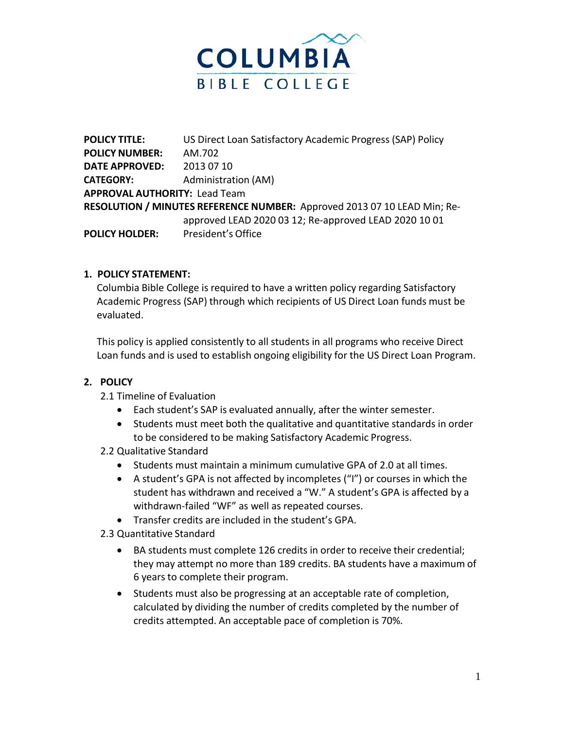

**POLICY TITLE:** US Direct Loan Satisfactory Academic Progress (SAP) Policy **POLICY NUMBER:** AM.702 **DATE APPROVED:** 2013 07 10 **CATEGORY:** Administration (AM) **APPROVAL AUTHORITY:** Lead Team **RESOLUTION / MINUTES REFERENCE NUMBER:** Approved 2013 07 10 LEAD Min; Reapproved LEAD 2020 03 12; Re-approved LEAD 2020 10 01 **POLICY HOLDER:** President's Office

## **1. POLICY STATEMENT:**

Columbia Bible College is required to have a written policy regarding Satisfactory Academic Progress (SAP) through which recipients of US Direct Loan funds must be evaluated.

This policy is applied consistently to all students in all programs who receive Direct Loan funds and is used to establish ongoing eligibility for the US Direct Loan Program.

## **2. POLICY**

- 2.1 Timeline of Evaluation
	- Each student's SAP is evaluated annually, after the winter semester.
	- Students must meet both the qualitative and quantitative standards in order to be considered to be making Satisfactory Academic Progress.
- 2.2 Qualitative Standard
	- Students must maintain a minimum cumulative GPA of 2.0 at all times.
	- A student's GPA is not affected by incompletes ("I") or courses in which the student has withdrawn and received a "W." A student's GPA is affected by a withdrawn-failed "WF" as well as repeated courses.
	- Transfer credits are included in the student's GPA.
- 2.3 Quantitative Standard
	- BA students must complete 126 credits in order to receive their credential; they may attempt no more than 189 credits. BA students have a maximum of 6 years to complete their program.
	- Students must also be progressing at an acceptable rate of completion, calculated by dividing the number of credits completed by the number of credits attempted. An acceptable pace of completion is 70%.